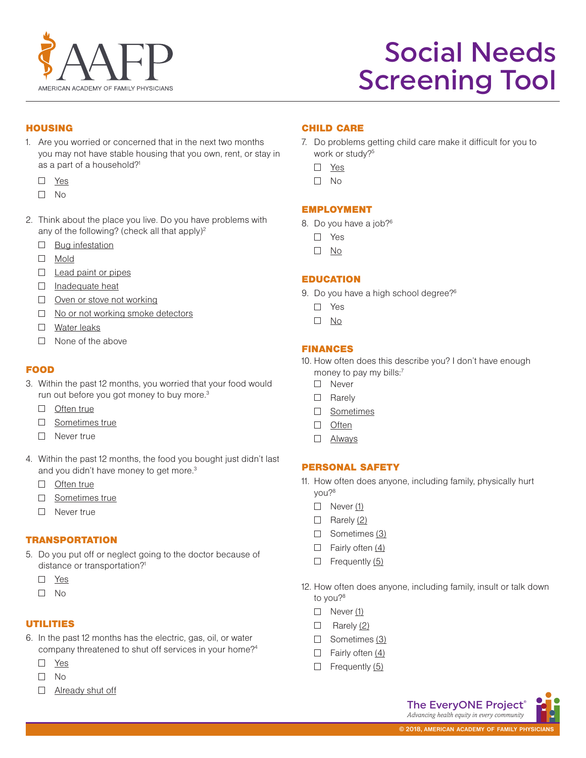

# **HOUSING**

- 1. Are you worried or concerned that in the next two months you may not have stable housing that you own, rent, or stay in as a part of a household?<sup>1</sup>
	- Yes
	- $\Box$  No
- 2. Think about the place you live. Do you have problems with any of the following? (check all that apply)<sup>2</sup>
	- $\Box$  Bug infestation
	- Mold
	- $\Box$  Lead paint or pipes
	- $\Box$  Inadequate heat
	- Oven or stove not working
	- $\Box$  No or not working smoke detectors
	- **D** Water leaks
	- $\Box$  None of the above

## **FOOD**

- 3. Within the past 12 months, you worried that your food would run out before you got money to buy more.<sup>3</sup>
	- $\Box$  Often true
	- □ Sometimes true
	- □ Never true
- 4. Within the past 12 months, the food you bought just didn't last and you didn't have money to get more.<sup>3</sup>
	- Often true
	- □ Sometimes true
	- □ Never true

## **TRANSPORTATION**

- 5. Do you put off or neglect going to the doctor because of distance or transportation?<sup>1</sup>
	- □ Yes
	- $\square$  No

## **UTILITIES**

- 6. In the past 12 months has the electric, gas, oil, or water company threatened to shut off services in your home?4
	- Yes
	- $\square$  No
	- $\Box$  Already shut off

## child care

- 7. Do problems getting child care make it difficult for you to work or study?<sup>5</sup>
	- Yes
	- $\Box$  No

## **EMPLOYMENT**

- 8. Do you have a job?6
	- □ Yes
	- No

## **EDUCATION**

- 9. Do you have a high school degree?<sup>6</sup>
	- □ Yes
	- No

## finances

- 10. How often does this describe you? I don't have enough money to pay my bills:<sup>7</sup>
	- □ Never
	- □ Rarely
	- □ Sometimes
	- □ Often
	- Always

## personal safety

- 11. How often does anyone, including family, physically hurt you?8
	- $\Box$  Never (1)
	- $\Box$  Rarely (2)
	- $\Box$  Sometimes (3)
	- $\Box$  Fairly often  $(4)$
	- $\Box$  Frequently  $(5)$
- 12. How often does anyone, including family, insult or talk down to you?<sup>8</sup>
	- $\Box$  Never (1)
	- $\Box$  Rarely (2)
	- $\Box$  Sometimes (3)
	- $\Box$  Fairly often  $(4)$
	- $\Box$  Frequently (5)